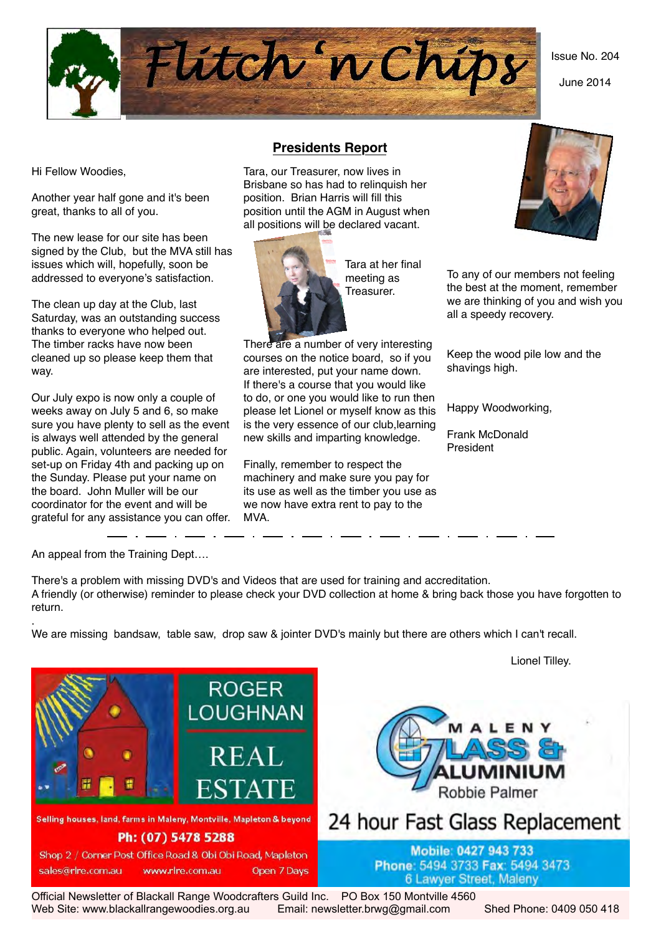Issue No. 204

June 2014



Hi Fellow Woodies,

Another year half gone and it's been great, thanks to all of you.

The new lease for our site has been signed by the Club, but the MVA still has issues which will, hopefully, soon be addressed to everyone's satisfaction.

The clean up day at the Club, last Saturday, was an outstanding success thanks to everyone who helped out. The timber racks have now been cleaned up so please keep them that way.

Our July expo is now only a couple of weeks away on July 5 and 6, so make sure you have plenty to sell as the event is always well attended by the general public. Again, volunteers are needed for set-up on Friday 4th and packing up on the Sunday. Please put your name on the board. John Muller will be our coordinator for the event and will be grateful for any assistance you can offer. MVA.

### **Presidents Report**

Tara, our Treasurer, now lives in Brisbane so has had to relinquish her position. Brian Harris will fill this position until the AGM in August when all positions will be declared vacant.



 Tara at her final meeting as Treasurer.

There are a number of very interesting courses on the notice board, so if you are interested, put your name down. If there's a course that you would like to do, or one you would like to run then please let Lionel or myself know as this is the very essence of our club,learning new skills and imparting knowledge.

Finally, remember to respect the machinery and make sure you pay for its use as well as the timber you use as we now have extra rent to pay to the



To any of our members not feeling the best at the moment, remember we are thinking of you and wish you all a speedy recovery.

Keep the wood pile low and the shavings high.

Happy Woodworking,

Frank McDonald President

An appeal from the Training Dept….

There's a problem with missing DVD's and Videos that are used for training and accreditation. A friendly (or otherwise) reminder to please check your DVD collection at home & bring back those you have forgotten to return.

. We are missing bandsaw, table saw, drop saw & jointer DVD's mainly but there are others which I can't recall.



Official Newsletter of Blackall Range Woodcrafters Guild Inc. PO Box 150 Montville 4560 Web Site: www.blackallrangewoodies.org.au Email: newsletter.brwg@gmail.com Shed Phone: 0409 050 418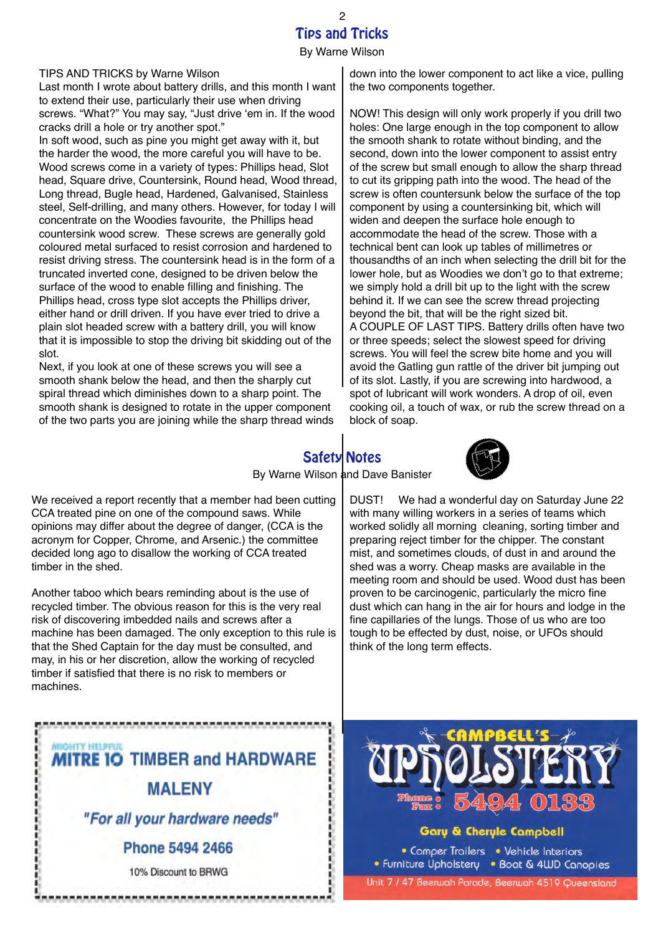### Tips and Tricks By Warne Wilson 2

TIPS AND TRICKS by Warne Wilson

Last month I wrote about battery drills, and this month I want to extend their use, particularly their use when driving screws. "What?" You may say, "Just drive 'em in. If the wood cracks drill a hole or try another spot."

In soft wood, such as pine you might get away with it, but the harder the wood, the more careful you will have to be. Wood screws come in a variety of types: Phillips head, Slot head, Square drive, Countersink, Round head, Wood thread, Long thread, Bugle head, Hardened, Galvanised, Stainless steel, Self-drilling, and many others. However, for today I will concentrate on the Woodies favourite, the Phillips head countersink wood screw. These screws are generally gold coloured metal surfaced to resist corrosion and hardened to resist driving stress. The countersink head is in the form of a truncated inverted cone, designed to be driven below the surface of the wood to enable filling and finishing. The Phillips head, cross type slot accepts the Phillips driver, either hand or drill driven. If you have ever tried to drive a plain slot headed screw with a battery drill, you will know that it is impossible to stop the driving bit skidding out of the slot.

Next, if you look at one of these screws you will see a smooth shank below the head, and then the sharply cut spiral thread which diminishes down to a sharp point. The smooth shank is designed to rotate in the upper component of the two parts you are joining while the sharp thread winds down into the lower component to act like a vice, pulling the two components together.

NOW! This design will only work properly if you drill two holes: One large enough in the top component to allow the smooth shank to rotate without binding, and the second, down into the lower component to assist entry of the screw but small enough to allow the sharp thread to cut its gripping path into the wood. The head of the screw is often countersunk below the surface of the top component by using a countersinking bit, which will widen and deepen the surface hole enough to accommodate the head of the screw. Those with a technical bent can look up tables of millimetres or thousandths of an inch when selecting the drill bit for the lower hole, but as Woodies we don't go to that extreme; we simply hold a drill bit up to the light with the screw behind it. If we can see the screw thread projecting beyond the bit, that will be the right sized bit. A COUPLE OF LAST TIPS. Battery drills often have two or three speeds; select the slowest speed for driving screws. You will feel the screw bite home and you will avoid the Gatling gun rattle of the driver bit jumping out of its slot. Lastly, if you are screwing into hardwood, a spot of lubricant will work wonders. A drop of oil, even cooking oil, a touch of wax, or rub the screw thread on a block of soap.

# Safety Notes



DUST! We had a wonderful day on Saturday June 22 with many willing workers in a series of teams which worked solidly all morning cleaning, sorting timber and preparing reject timber for the chipper. The constant mist, and sometimes clouds, of dust in and around the shed was a worry. Cheap masks are available in the meeting room and should be used. Wood dust has been proven to be carcinogenic, particularly the micro fine dust which can hang in the air for hours and lodge in the fine capillaries of the lungs. Those of us who are too tough to be effected by dust, noise, or UFOs should

By Warne Wilson and Dave Banister

We received a report recently that a member had been cutting CCA treated pine on one of the compound saws. While opinions may differ about the degree of danger, (CCA is the acronym for Copper, Chrome, and Arsenic.) the committee decided long ago to disallow the working of CCA treated timber in the shed.

Another taboo which bears reminding about is the use of recycled timber. The obvious reason for this is the very real risk of discovering imbedded nails and screws after a machine has been damaged. The only exception to this rule is that the Shed Captain for the day must be consulted, and may, in his or her discretion, allow the working of recycled timber if satisfied that there is no risk to members or machines.



think of the long term effects.

### Gary & Cheryle Campbell

• Camper Trailers • Vehicle Interiors • Furniture Upholstery • Boat & 4WD Canopies Unit 7 / 47 Beerwah Parade, Beerwah 4519 Queensland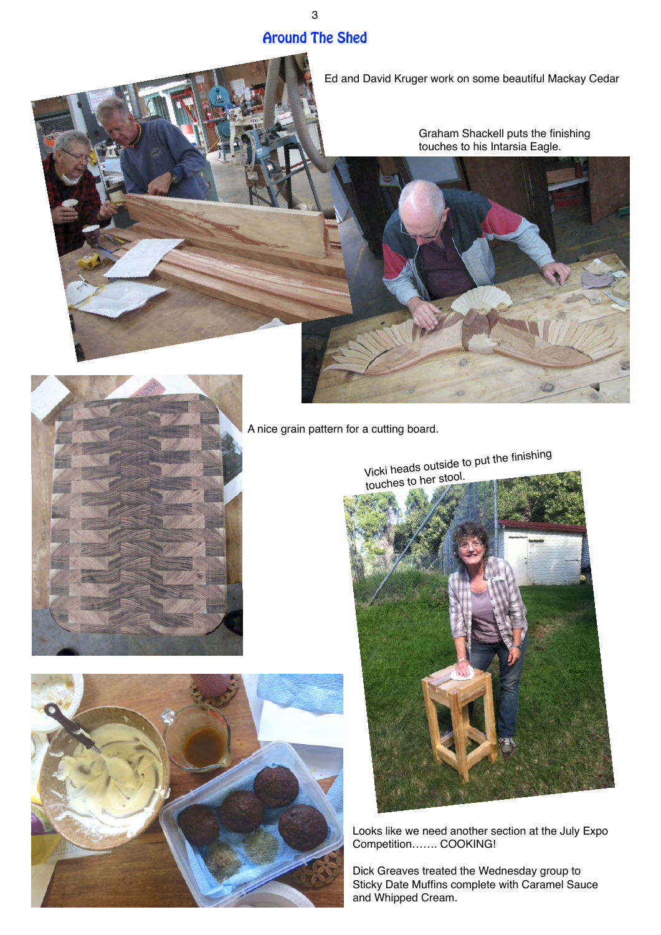## Around The Shed

3

Ed and David Kruger work on some beautiful Mackay Cedar

Graham Shackell puts the finishing touches to his Intarsia Eagle.







A nice grain pattern for a cutting board.



Looks like we need another section at the July Expo Competition……. COOKING!

Dick Greaves treated the Wednesday group to Sticky Date Muffins complete with Caramel Sauce and Whipped Cream.

Vicki heads outside to put the finishing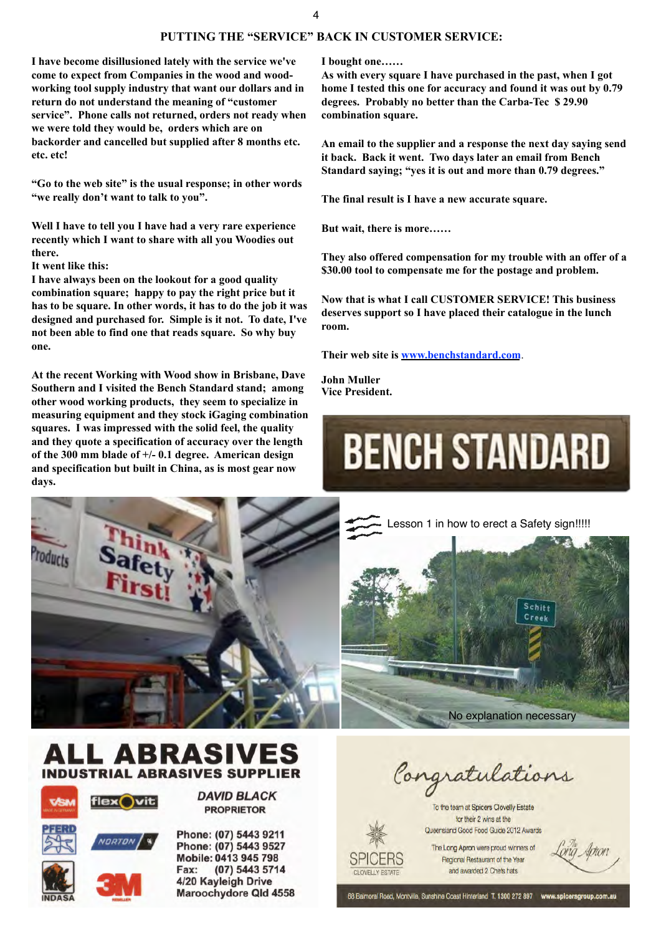### 4

### **PUTTING THE "SERVICE" BACK IN CUSTOMER SERVICE:**

**I have become disillusioned lately with the service we've come to expect from Companies in the wood and woodworking tool supply industry that want our dollars and in return do not understand the meaning of "customer service". Phone calls not returned, orders not ready when we were told they would be, orders which are on backorder and cancelled but supplied after 8 months etc. etc. etc!** 

**"Go to the web site" is the usual response; in other words "we really don't want to talk to you".**

**Well I have to tell you I have had a very rare experience recently which I want to share with all you Woodies out there.**

**It went like this:**

**I have always been on the lookout for a good quality combination square; happy to pay the right price but it has to be square. In other words, it has to do the job it was designed and purchased for. Simple is it not. To date, I've not been able to find one that reads square. So why buy one.**

**At the recent Working with Wood show in Brisbane, Dave Southern and I visited the Bench Standard stand; among other wood working products, they seem to specialize in measuring equipment and they stock iGaging combination squares. I was impressed with the solid feel, the quality and they quote a specification of accuracy over the length of the 300 mm blade of +/- 0.1 degree. American design and specification but built in China, as is most gear now days.**

**I bought one……**

**As with every square I have purchased in the past, when I got home I tested this one for accuracy and found it was out by 0.79 degrees. Probably no better than the Carba-Tec \$ 29.90 combination square.** 

**An email to the supplier and a response the next day saying send it back. Back it went. Two days later an email from Bench Standard saying; "yes it is out and more than 0.79 degrees."**

**The final result is I have a new accurate square.** 

**But wait, there is more……**

**They also offered compensation for my trouble with an offer of a \$30.00 tool to compensate me for the postage and problem.** 

**Now that is what I call CUSTOMER SERVICE! This business deserves support so I have placed their catalogue in the lunch room.** 

**Their web site is [www.benchstandard.com](http://www.benchstandard.com/)**.

**John Muller Vice President.**

# **BENCH STANDARD**



Lesson 1 in how to erect a Safety sign!!!!! Schitt Creat No explanation necessary









**DAVID BLACK PROPRIETOR** 

Phone: (07) 5443 9211 Phone: (07) 5443 9527 Mobile: 0413 945 798 Fax: (07) 5443 5714 4/20 Kayleigh Drive Maroochydore Qld 4558

Congratulations

To the team at Spicers Clovelly Estate for their 2 wins at the Queensland Good Food Guide 2012 Awards

The Long Apron were proud winners of Regional Restaurant of the Year and awarded 2 Chefs hats

CLOVELLY ESTATE

68 Balmoral Road, Montville, Sunshine Coast Hinterland T. 1300 272 897 www.spicersgr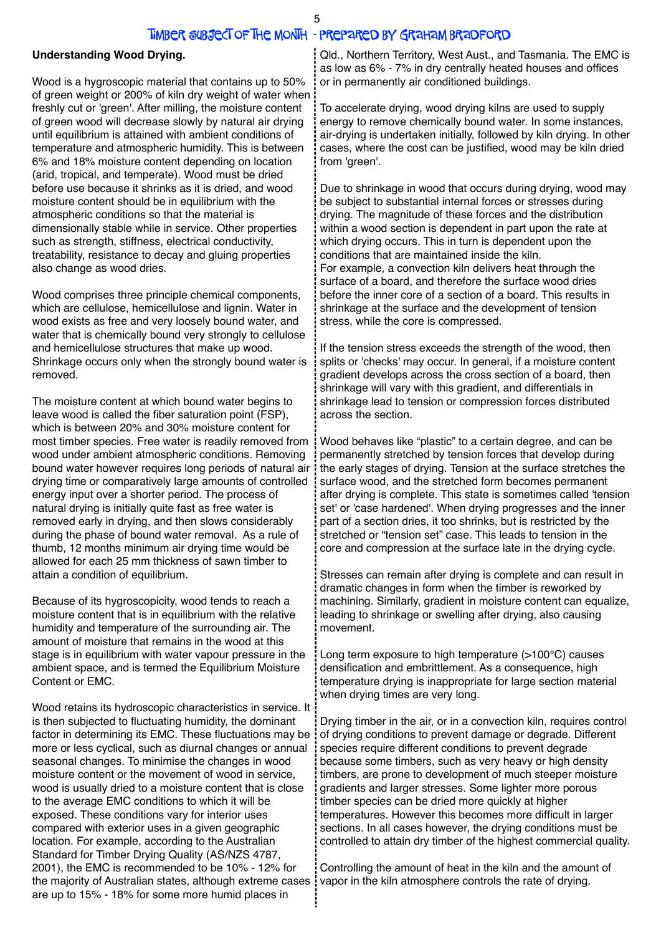### Timber Subject of the Month - prepared by Graham Bradford

### **Understanding Wood Drying.**

Wood is a hygroscopic material that contains up to 50% of green weight or 200% of kiln dry weight of water when freshly cut or 'green'. After milling, the moisture content of green wood will decrease slowly by natural air drying until equilibrium is attained with ambient conditions of temperature and atmospheric humidity. This is between 6% and 18% moisture content depending on location (arid, tropical, and temperate). Wood must be dried before use because it shrinks as it is dried, and wood moisture content should be in equilibrium with the atmospheric conditions so that the material is dimensionally stable while in service. Other properties such as strength, stiffness, electrical conductivity, treatability, resistance to decay and gluing properties also change as wood dries.

Wood comprises three principle chemical components, which are cellulose, hemicellulose and lignin. Water in wood exists as free and very loosely bound water, and water that is chemically bound very strongly to cellulose and hemicellulose structures that make up wood. Shrinkage occurs only when the strongly bound water is removed.

The moisture content at which bound water begins to leave wood is called the fiber saturation point (FSP), which is between 20% and 30% moisture content for most timber species. Free water is readily removed from wood under ambient atmospheric conditions. Removing bound water however requires long periods of natural air drying time or comparatively large amounts of controlled energy input over a shorter period. The process of natural drying is initially quite fast as free water is removed early in drying, and then slows considerably during the phase of bound water removal. As a rule of thumb, 12 months minimum air drying time would be allowed for each 25 mm thickness of sawn timber to attain a condition of equilibrium.

Because of its hygroscopicity, wood tends to reach a moisture content that is in equilibrium with the relative humidity and temperature of the surrounding air. The amount of moisture that remains in the wood at this stage is in equilibrium with water vapour pressure in the ambient space, and is termed the Equilibrium Moisture Content or EMC.

Wood retains its hydroscopic characteristics in service. It is then subjected to fluctuating humidity, the dominant factor in determining its EMC. These fluctuations may be more or less cyclical, such as diurnal changes or annual seasonal changes. To minimise the changes in wood moisture content or the movement of wood in service, wood is usually dried to a moisture content that is close to the average EMC conditions to which it will be exposed. These conditions vary for interior uses compared with exterior uses in a given geographic location. For example, according to the Australian Standard for Timber Drying Quality (AS/NZS 4787, 2001), the EMC is recommended to be 10% - 12% for the majority of Australian states, although extreme cases are up to 15% - 18% for some more humid places in

Qld., Northern Territory, West Aust., and Tasmania. The EMC is as low as 6% - 7% in dry centrally heated houses and offices or in permanently air conditioned buildings.

To accelerate drying, wood drying kilns are used to supply energy to remove chemically bound water. In some instances, air-drying is undertaken initially, followed by kiln drying. In other cases, where the cost can be justified, wood may be kiln dried from 'green'.

Due to shrinkage in wood that occurs during drying, wood may be subject to substantial internal forces or stresses during drying. The magnitude of these forces and the distribution within a wood section is dependent in part upon the rate at which drying occurs. This in turn is dependent upon the conditions that are maintained inside the kiln. For example, a convection kiln delivers heat through the surface of a board, and therefore the surface wood dries before the inner core of a section of a board. This results in shrinkage at the surface and the development of tension stress, while the core is compressed.

If the tension stress exceeds the strength of the wood, then splits or 'checks' may occur. In general, if a moisture content gradient develops across the cross section of a board, then shrinkage will vary with this gradient, and differentials in shrinkage lead to tension or compression forces distributed across the section.

Wood behaves like "plastic" to a certain degree, and can be permanently stretched by tension forces that develop during the early stages of drying. Tension at the surface stretches the surface wood, and the stretched form becomes permanent after drying is complete. This state is sometimes called 'tension set' or 'case hardened'. When drying progresses and the inner part of a section dries, it too shrinks, but is restricted by the stretched or "tension set" case. This leads to tension in the core and compression at the surface late in the drying cycle.

Stresses can remain after drying is complete and can result in dramatic changes in form when the timber is reworked by machining. Similarly, gradient in moisture content can equalize, leading to shrinkage or swelling after drying, also causing movement.

Long term exposure to high temperature (>100°C) causes densification and embrittlement. As a consequence, high temperature drying is inappropriate for large section material when drying times are very long.

Drying timber in the air, or in a convection kiln, requires control of drying conditions to prevent damage or degrade. Different species require different conditions to prevent degrade because some timbers, such as very heavy or high density timbers, are prone to development of much steeper moisture gradients and larger stresses. Some lighter more porous timber species can be dried more quickly at higher temperatures. However this becomes more difficult in larger sections. In all cases however, the drying conditions must be controlled to attain dry timber of the highest commercial quality.

Controlling the amount of heat in the kiln and the amount of vapor in the kiln atmosphere controls the rate of drying.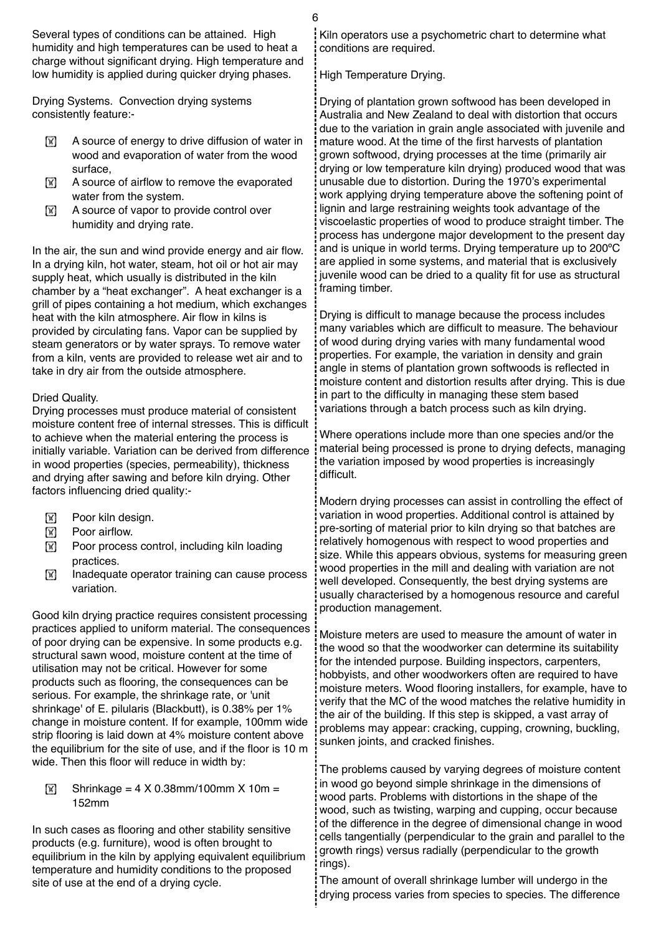Several types of conditions can be attained. High humidity and high temperatures can be used to heat a charge without significant drying. High temperature and low humidity is applied during quicker drying phases.

Drying Systems. Convection drying systems consistently feature:-

- $\boxed{\mathbb{X}}$  A source of energy to drive diffusion of water in wood and evaporation of water from the wood surface,
- $[\overline{\mathbb{X}}]$  A source of airflow to remove the evaporated water from the system.
- $\mathbb{X}$  A source of vapor to provide control over humidity and drying rate.

In the air, the sun and wind provide energy and air flow. In a drying kiln, hot water, steam, hot oil or hot air may supply heat, which usually is distributed in the kiln chamber by a "heat exchanger". A heat exchanger is a grill of pipes containing a hot medium, which exchanges heat with the kiln atmosphere. Air flow in kilns is provided by circulating fans. Vapor can be supplied by steam generators or by water sprays. To remove water from a kiln, vents are provided to release wet air and to take in dry air from the outside atmosphere.

### Dried Quality.

Drying processes must produce material of consistent moisture content free of internal stresses. This is difficult to achieve when the material entering the process is initially variable. Variation can be derived from difference in wood properties (species, permeability), thickness and drying after sawing and before kiln drying. Other factors influencing dried quality:-

- **IN Poor kiln design.**
- $\boxed{\mathbb{X}}$  Poor airflow.
- $\boxed{\mathbb{X}}$  Poor process control, including kiln loading practices.
- $[\overline{\mathbb{X}}]$  Inadequate operator training can cause process variation.

Good kiln drying practice requires consistent processing practices applied to uniform material. The consequences of poor drying can be expensive. In some products e.g. structural sawn wood, moisture content at the time of utilisation may not be critical. However for some products such as flooring, the consequences can be serious. For example, the shrinkage rate, or 'unit shrinkage' of E. pilularis (Blackbutt), is 0.38% per 1% change in moisture content. If for example, 100mm wide strip flooring is laid down at 4% moisture content above the equilibrium for the site of use, and if the floor is 10 m wide. Then this floor will reduce in width by:

 $\boxed{\mathbb{X}}$  Shrinkage = 4 X 0.38mm/100mm X 10m = 152mm

In such cases as flooring and other stability sensitive products (e.g. furniture), wood is often brought to equilibrium in the kiln by applying equivalent equilibrium temperature and humidity conditions to the proposed site of use at the end of a drying cycle.

Kiln operators use a psychometric chart to determine what conditions are required.

High Temperature Drying.

Drying of plantation grown softwood has been developed in Australia and New Zealand to deal with distortion that occurs due to the variation in grain angle associated with juvenile and mature wood. At the time of the first harvests of plantation grown softwood, drying processes at the time (primarily air drying or low temperature kiln drying) produced wood that was unusable due to distortion. During the 1970's experimental work applying drying temperature above the softening point of lignin and large restraining weights took advantage of the viscoelastic properties of wood to produce straight timber. The process has undergone major development to the present day and is unique in world terms. Drying temperature up to 200ºC are applied in some systems, and material that is exclusively juvenile wood can be dried to a quality fit for use as structural framing timber.

Drying is difficult to manage because the process includes many variables which are difficult to measure. The behaviour of wood during drying varies with many fundamental wood properties. For example, the variation in density and grain angle in stems of plantation grown softwoods is reflected in moisture content and distortion results after drying. This is due in part to the difficulty in managing these stem based variations through a batch process such as kiln drying.

Where operations include more than one species and/or the material being processed is prone to drying defects, managing the variation imposed by wood properties is increasingly difficult.

Modern drying processes can assist in controlling the effect of variation in wood properties. Additional control is attained by pre-sorting of material prior to kiln drying so that batches are relatively homogenous with respect to wood properties and size. While this appears obvious, systems for measuring green wood properties in the mill and dealing with variation are not well developed. Consequently, the best drying systems are usually characterised by a homogenous resource and careful production management.

Moisture meters are used to measure the amount of water in the wood so that the woodworker can determine its suitability for the intended purpose. Building inspectors, carpenters, hobbyists, and other woodworkers often are required to have moisture meters. Wood flooring installers, for example, have to verify that the MC of the wood matches the relative humidity in the air of the building. If this step is skipped, a vast array of problems may appear: cracking, cupping, crowning, buckling, sunken joints, and cracked finishes.

The problems caused by varying degrees of moisture content in wood go beyond simple shrinkage in the dimensions of wood parts. Problems with distortions in the shape of the wood, such as twisting, warping and cupping, occur because of the difference in the degree of dimensional change in wood cells tangentially (perpendicular to the grain and parallel to the growth rings) versus radially (perpendicular to the growth rings).

The amount of overall shrinkage lumber will undergo in the drying process varies from species to species. The difference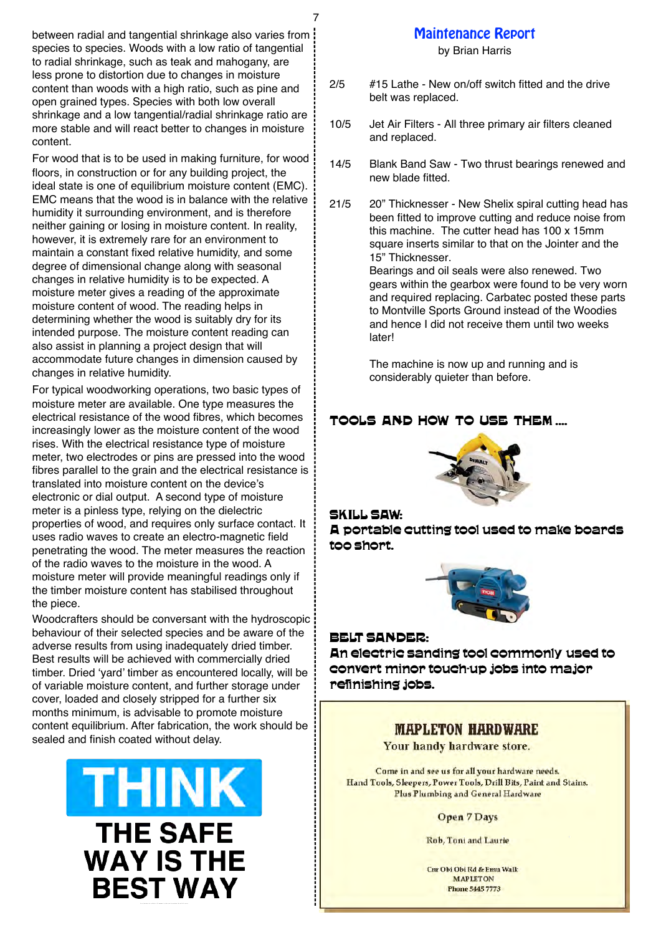between radial and tangential shrinkage also varies from species to species. Woods with a low ratio of tangential to radial shrinkage, such as teak and mahogany, are less prone to distortion due to changes in moisture content than woods with a high ratio, such as pine and open grained types. Species with both low overall shrinkage and a low tangential/radial shrinkage ratio are more stable and will react better to changes in moisture content.

For wood that is to be used in making furniture, for wood floors, in construction or for any building project, the ideal state is one of equilibrium moisture content (EMC). EMC means that the wood is in balance with the relative humidity it surrounding environment, and is therefore neither gaining or losing in moisture content. In reality, however, it is extremely rare for an environment to maintain a constant fixed relative humidity, and some degree of dimensional change along with seasonal changes in relative humidity is to be expected. A moisture meter gives a reading of the approximate moisture content of wood. The reading helps in determining whether the wood is suitably dry for its intended purpose. The moisture content reading can also assist in planning a project design that will accommodate future changes in dimension caused by changes in relative humidity.

For typical woodworking operations, two basic types of moisture meter are available. One type measures the electrical resistance of the wood fibres, which becomes increasingly lower as the moisture content of the wood rises. With the electrical resistance type of moisture meter, two electrodes or pins are pressed into the wood fibres parallel to the grain and the electrical resistance is translated into moisture content on the device's electronic or dial output. A second type of moisture meter is a pinless type, relying on the dielectric properties of wood, and requires only surface contact. It uses radio waves to create an electro-magnetic field penetrating the wood. The meter measures the reaction of the radio waves to the moisture in the wood. A moisture meter will provide meaningful readings only if the timber moisture content has stabilised throughout the piece.

Woodcrafters should be conversant with the hydroscopic behaviour of their selected species and be aware of the adverse results from using inadequately dried timber. Best results will be achieved with commercially dried timber. Dried 'yard' timber as encountered locally, will be of variable moisture content, and further storage under cover, loaded and closely stripped for a further six months minimum, is advisable to promote moisture content equilibrium. After fabrication, the work should be sealed and finish coated without delay.



# Maintenance Report

### by Brian Harris

- 2/5 #15 Lathe New on/off switch fitted and the drive belt was replaced.
- 10/5 Jet Air Filters All three primary air filters cleaned and replaced.
- 14/5 Blank Band Saw Two thrust bearings renewed and new blade fitted.
- 21/5 20" Thicknesser New Shelix spiral cutting head has been fitted to improve cutting and reduce noise from this machine. The cutter head has 100 x 15mm square inserts similar to that on the Jointer and the 15" Thicknesser.

Bearings and oil seals were also renewed. Two gears within the gearbox were found to be very worn and required replacing. Carbatec posted these parts to Montville Sports Ground instead of the Woodies and hence I did not receive them until two weeks **later!** 

The machine is now up and running and is considerably quieter than before.

### TOOLS AND HOW TO USE THEM ....



### SKILL SAW:

7

A portable cutting tool used to make boards too short.



### BELT SANDER:

An electric sanding tool commonly used to convert minor touch-up jobs into major refinishing jobs.

### **MAPLETON HARDWARE**

Your handy hardware store.

Come in and see us for all your hardware needs. Hand Tools, Sleepers, Power Tools, Drill Bits, Paint and Stains. **Plus Plumbing and General Hardware** 

### **Open 7 Days**

Rob, Toni and Laurie

Cm Obi Obi Rd & Emu Walk **MAPLETON Phone 5445 7773**